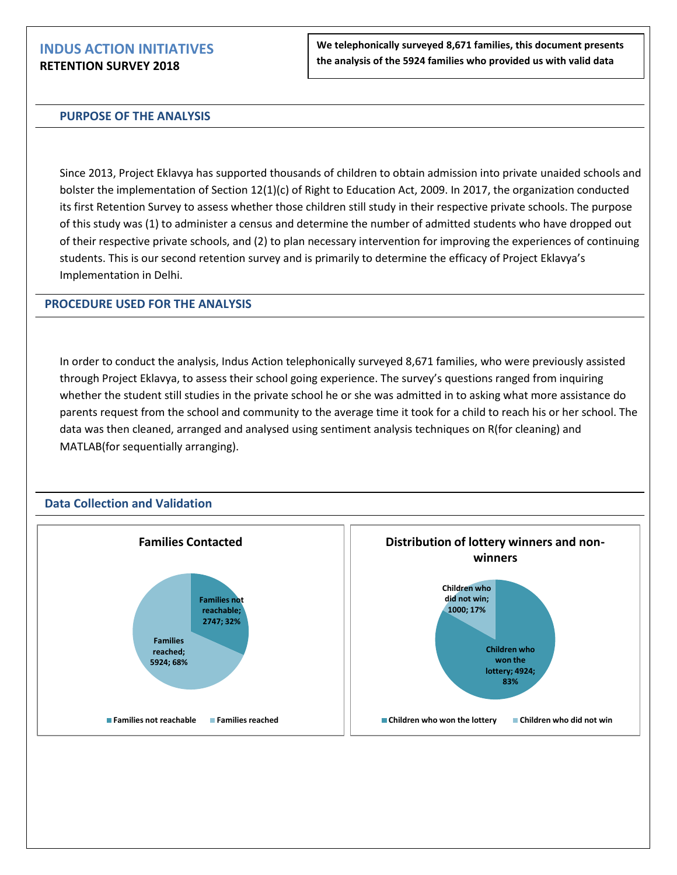**We telephonically surveyed 8,671 families, this document presents the analysis of the 5924 families who provided us with valid data**

### **PURPOSE OF THE ANALYSIS**

Since 2013, Project Eklavya has supported thousands of children to obtain admission into private unaided schools and bolster the implementation of Section 12(1)(c) of Right to Education Act, 2009. In 2017, the organization conducted its first Retention Survey to assess whether those children still study in their respective private schools. The purpose of this study was (1) to administer a census and determine the number of admitted students who have dropped out of their respective private schools, and (2) to plan necessary intervention for improving the experiences of continuing students. This is our second retention survey and is primarily to determine the efficacy of Project Eklavya's Implementation in Delhi.

## **PROCEDURE USED FOR THE ANALYSIS**

In order to conduct the analysis, Indus Action telephonically surveyed 8,671 families, who were previously assisted through Project Eklavya, to assess their school going experience. The survey's questions ranged from inquiring whether the student still studies in the private school he or she was admitted in to asking what more assistance do parents request from the school and community to the average time it took for a child to reach his or her school. The data was then cleaned, arranged and analysed using sentiment analysis techniques on R(for cleaning) and MATLAB(for sequentially arranging).

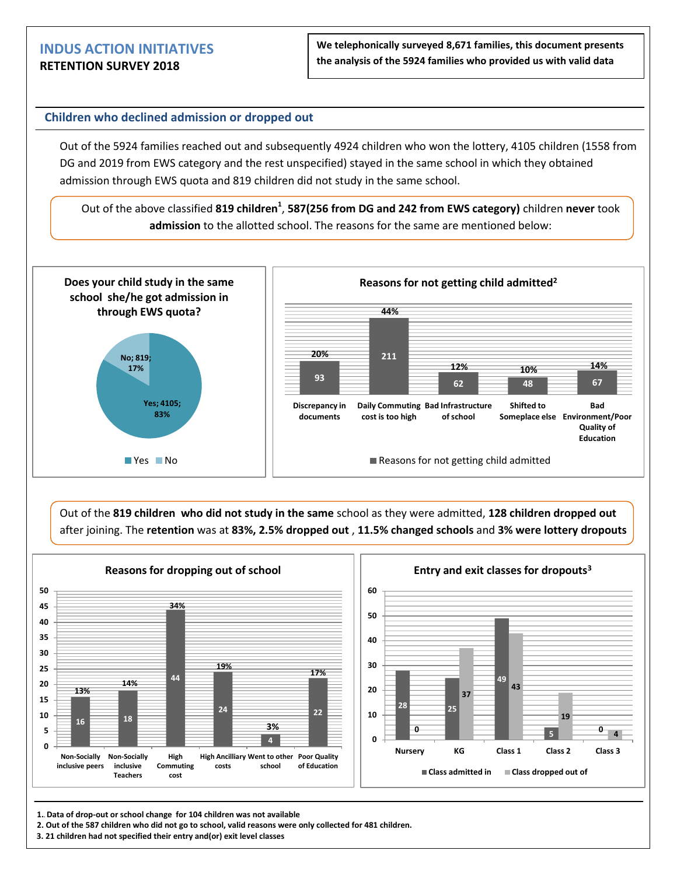**We telephonically surveyed 8,671 families, this document presents the analysis of the 5924 families who provided us with valid data**

## **Children who declined admission or dropped out**

Out of the 5924 families reached out and subsequently 4924 children who won the lottery, 4105 children (1558 from DG and 2019 from EWS category and the rest unspecified) stayed in the same school in which they obtained admission through EWS quota and 819 children did not study in the same school.

Out of the above classified **819 children<sup>1</sup>** , **587(256 from DG and 242 from EWS category)** children **never** took **admission** to the allotted school. The reasons for the same are mentioned below:



Out of the **819 children who did not study in the same** school as they were admitted, **128 children dropped out**  after joining. The **retention** was at **83%, 2.5% dropped out** , **11.5% changed schools** and **3% were lottery dropouts**



**1.. Data of drop-out or school change for 104 children was not available**

**2. Out of the 587 children who did not go to school, valid reasons were only collected for 481 children.**

**3. 21 children had not specified their entry and(or) exit level classes**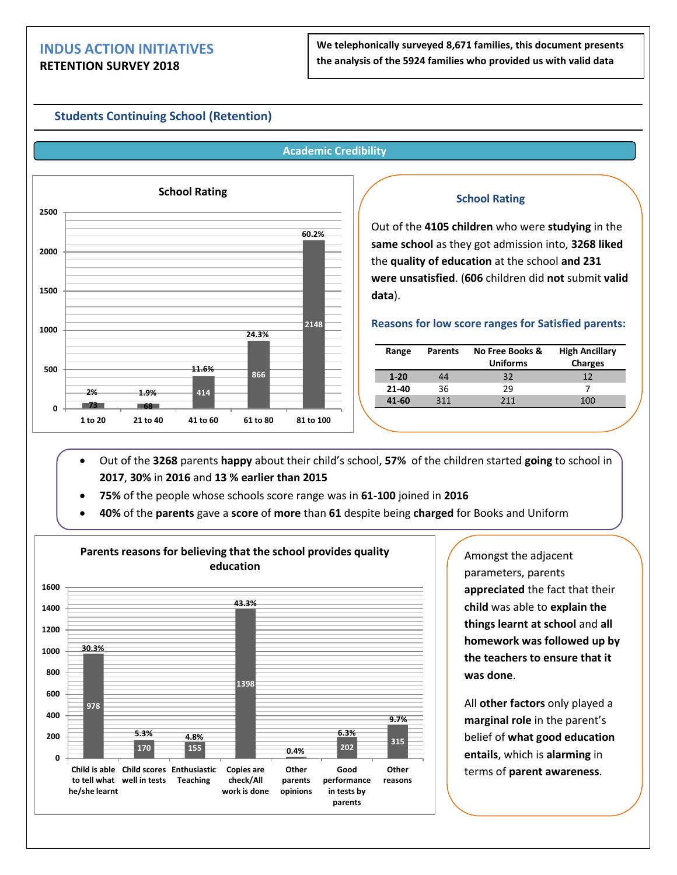## **Students Continuing School (Retention)**

#### **Academic Credibility**



## **School Rating**

Out of the **4105 children** who were **studying** in the **same school** as they got admission into, **3268 liked** the **quality of education** at the school **and 231 were unsatisfied**. (**606** children did **not** submit **valid data**).

#### **Reasons for low score ranges for Satisfied parents:**

| Range    | <b>Parents</b> | No Free Books &<br><b>Uniforms</b> | <b>High Ancillary</b><br><b>Charges</b> |
|----------|----------------|------------------------------------|-----------------------------------------|
| $1 - 20$ | 44             | 32                                 | 12                                      |
| 21-40    | 36             | 29                                 |                                         |
| 41-60    | 311            | 211                                | 100                                     |

- Out of the **3268** parents **happy** about their child's school, **57%** of the children started **going** to school in **2017**, **30%** in **2016** and **13 % earlier than 2015**
- **75%** of the people whose schools score range was in **61-100** joined in **2016**
- **40%** of the **parents** gave a **score** of **more** than **61** despite being **charged** for Books and Uniform



Amongst the adjacent parameters, parents **appreciated** the fact that their **child** was able to **explain the things learnt at school** and **all homework was followed up by the teachers to ensure that it was done**.

All **other factors** only played a **marginal role** in the parent's belief of **what good education entails**, which is **alarming** in terms of **parent awareness**.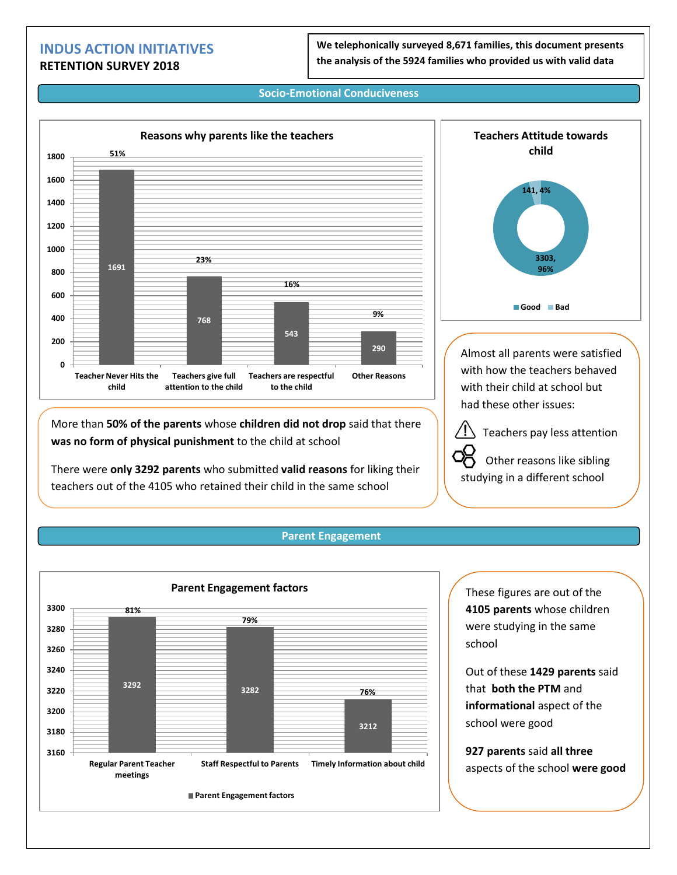**We telephonically surveyed 8,671 families, this document presents the analysis of the 5924 families who provided us with valid data**

#### **Socio-Emotional Conduciveness**



**3303, 96% 141, 4% Teachers Attitude towards child Good Bad**

Almost all parents were satisfied with how the teachers behaved with their child at school but had these other issues:

Teachers pay less attention

 Other reasons like sibling studying in a different school

More than **50% of the parents** whose **children did not drop** said that there **was no form of physical punishment** to the child at school

There were **only 3292 parents** who submitted **valid reasons** for liking their teachers out of the 4105 who retained their child in the same school

#### **Parent Engagement**



These figures are out of the **4105 parents** whose children were studying in the same school

Out of these **1429 parents** said that **both the PTM** and **informational** aspect of the school were good

**927 parents** said **all three** aspects of the school **were good**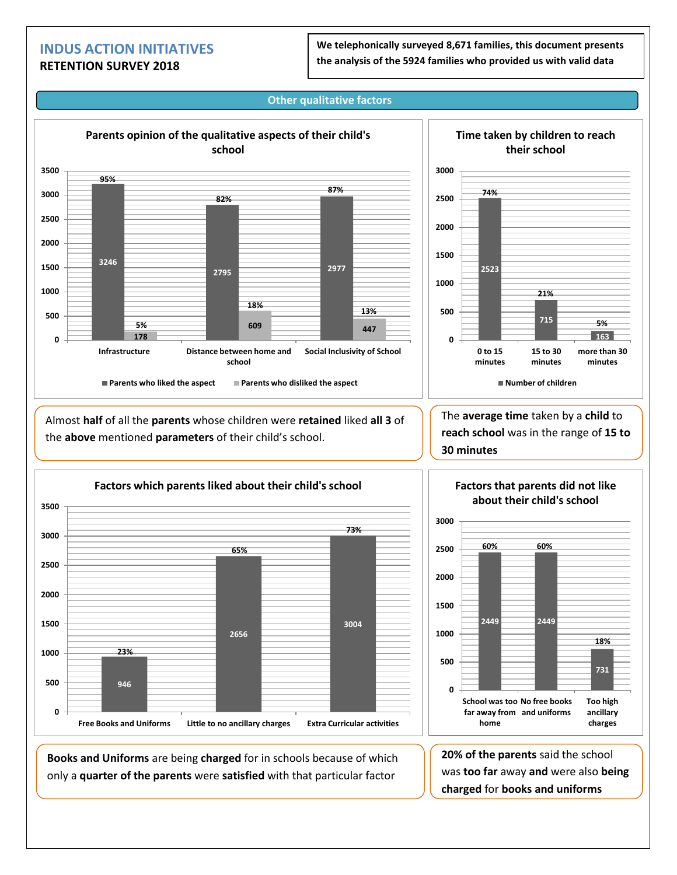**We telephonically surveyed 8,671 families, this document presents the analysis of the 5924 families who provided us with valid data**

#### **Other qualitative factors**



Almost **half** of all the **parents** whose children were **retained** liked **all 3** of

the **above** mentioned **parameters** of their child's school.



The **average time** taken by a **child** to **reach school** was in the range of **15 to 30 minutes**



**Books and Uniforms** are being **charged** for in schools because of which only a **quarter of the parents** were **satisfied** with that particular factor



**20% of the parents** said the school was **too far** away **and** were also **being charged** for **books and uniforms**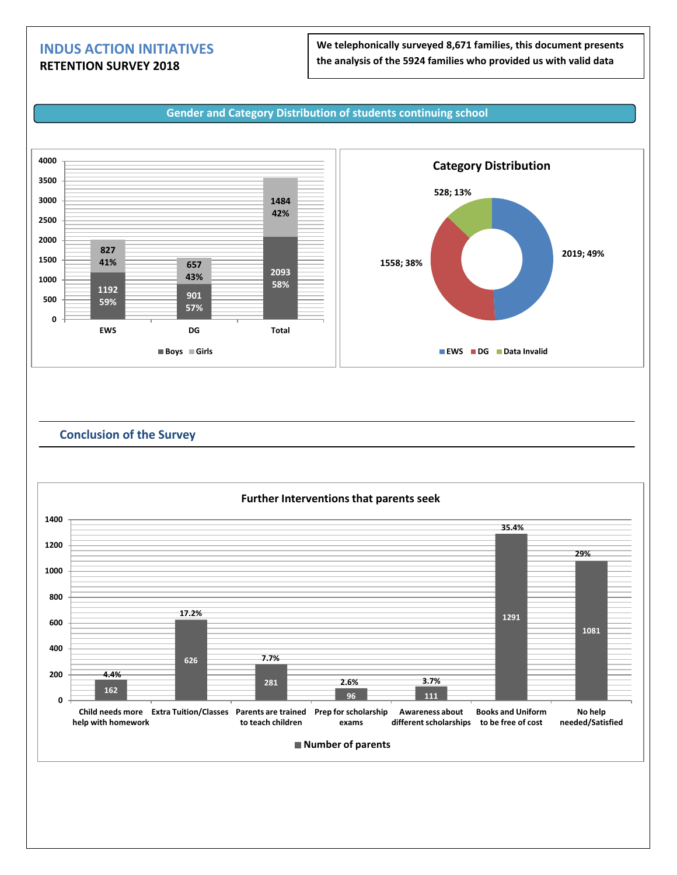**We telephonically surveyed 8,671 families, this document presents the analysis of the 5924 families who provided us with valid data**

#### **Gender and Category Distribution of students continuing school**



## **Conclusion of the Survey**